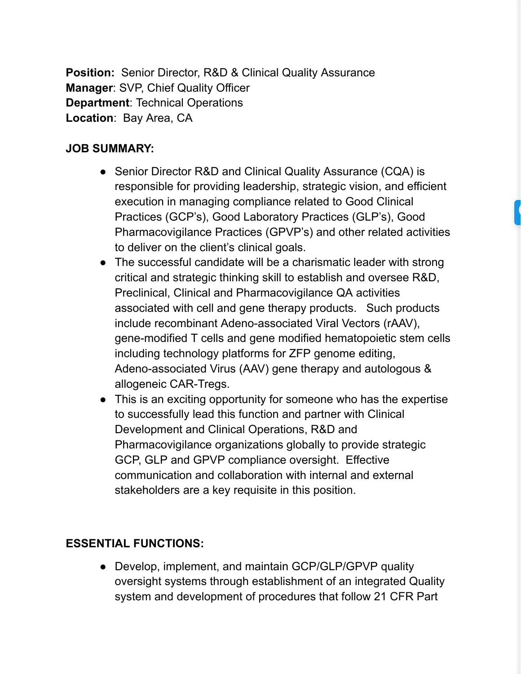**Position:** Senior Director, R&D & Clinical Quality Assurance **Manager: SVP, Chief Quality Officer Department: Technical Operations Location: Bay Area, CA** 

## **JOB SUMMARY:**

- Senior Director R&D and Clinical Quality Assurance (CQA) is responsible for providing leadership, strategic vision, and efficient execution in managing compliance related to Good Clinical Practices (GCP's), Good Laboratory Practices (GLP's), Good Pharmacovigilance Practices (GPVP's) and other related activities to deliver on the client's clinical goals.
- The successful candidate will be a charismatic leader with strong critical and strategic thinking skill to establish and oversee R&D, Preclinical, Clinical and Pharmacovigilance QA activities associated with cell and gene therapy products. Such products include recombinant Adeno-associated Viral Vectors (rAAV), gene-modified T cells and gene modified hematopoietic stem cells including technology platforms for ZFP genome editing, Adeno-associated Virus (AAV) gene therapy and autologous & allogeneic CAR-Tregs.
- This is an exciting opportunity for someone who has the expertise to successfully lead this function and partner with Clinical Development and Clinical Operations, R&D and Pharmacovigilance organizations globally to provide strategic GCP, GLP and GPVP compliance oversight. Effective communication and collaboration with internal and external stakeholders are a key requisite in this position.

## **ESSENTIAL FUNCTIONS:**

• Develop, implement, and maintain GCP/GLP/GPVP quality oversight systems through establishment of an integrated Quality system and development of procedures that follow 21 CFR Part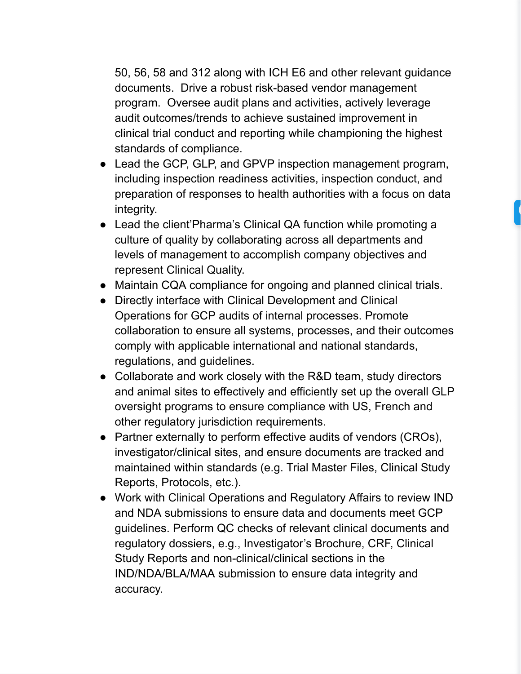50, 56, 58 and 312 along with ICH E6 and other relevant guidance documents. Drive a robust risk-based vendor management program. Oversee audit plans and activities, actively leverage audit outcomes/trends to achieve sustained improvement in clinical trial conduct and reporting while championing the highest standards of compliance.

- Lead the GCP, GLP, and GPVP inspection management program, including inspection readiness activities, inspection conduct, and preparation of responses to health authorities with a focus on data integrity.
- Lead the client'Pharma's Clinical QA function while promoting a culture of quality by collaborating across all departments and levels of management to accomplish company objectives and represent Clinical Quality.
- Maintain CQA compliance for ongoing and planned clinical trials.
- Directly interface with Clinical Development and Clinical Operations for GCP audits of internal processes. Promote collaboration to ensure all systems, processes, and their outcomes comply with applicable international and national standards, regulations, and guidelines.
- Collaborate and work closely with the R&D team, study directors and animal sites to effectively and efficiently set up the overall GLP oversight programs to ensure compliance with US, French and other regulatory jurisdiction requirements.
- Partner externally to perform effective audits of vendors (CROs), investigator/clinical sites, and ensure documents are tracked and maintained within standards (e.g. Trial Master Files, Clinical Study Reports, Protocols, etc.).
- Work with Clinical Operations and Regulatory Affairs to review IND and NDA submissions to ensure data and documents meet GCP guidelines. Perform QC checks of relevant clinical documents and regulatory dossiers, e.g., Investigator's Brochure, CRF, Clinical Study Reports and non-clinical/clinical sections in the IND/NDA/BLA/MAA submission to ensure data integrity and accuracy.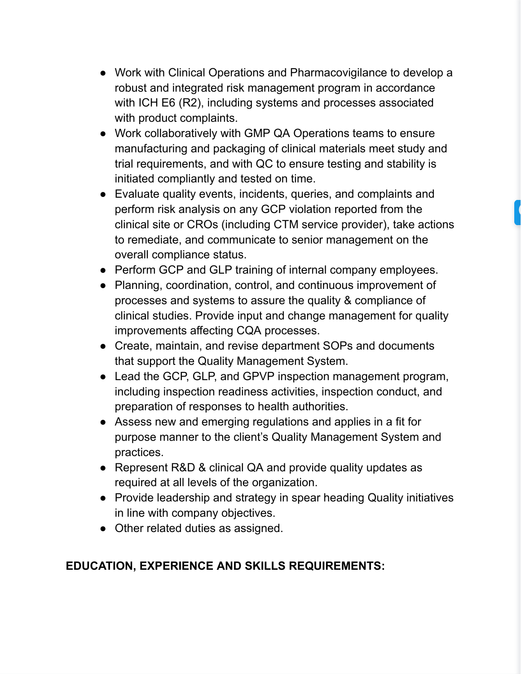- Work with Clinical Operations and Pharmacovigilance to develop a robust and integrated risk management program in accordance with ICH E6 (R2), including systems and processes associated with product complaints.
- Work collaboratively with GMP QA Operations teams to ensure manufacturing and packaging of clinical materials meet study and trial requirements, and with QC to ensure testing and stability is initiated compliantly and tested on time.
- Evaluate quality events, incidents, queries, and complaints and perform risk analysis on any GCP violation reported from the clinical site or CROs (including CTM service provider), take actions to remediate, and communicate to senior management on the overall compliance status.
- Perform GCP and GLP training of internal company employees.
- Planning, coordination, control, and continuous improvement of processes and systems to assure the quality & compliance of clinical studies. Provide input and change management for quality improvements affecting CQA processes.
- Create, maintain, and revise department SOPs and documents that support the Quality Management System.
- Lead the GCP, GLP, and GPVP inspection management program, including inspection readiness activities, inspection conduct, and preparation of responses to health authorities.
- Assess new and emerging regulations and applies in a fit for purpose manner to the client's Quality Management System and practices.
- Represent R&D & clinical QA and provide quality updates as required at all levels of the organization.
- Provide leadership and strategy in spear heading Quality initiatives in line with company objectives.
- Other related duties as assigned.

## **EDUCATION, EXPERIENCE AND SKILLS REQUIREMENTS:**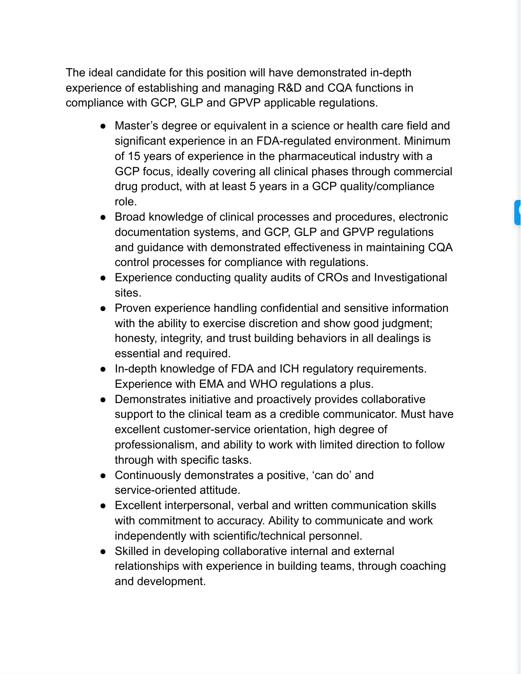The ideal candidate for this position will have demonstrated in-depth experience of establishing and managing R&D and CQA functions in compliance with GCP, GLP and GPVP applicable regulations.

- Master's degree or equivalent in a science or health care field and significant experience in an FDA-regulated environment. Minimum of 15 years of experience in the pharmaceutical industry with a GCP focus, ideally covering all clinical phases through commercial drug product, with at least 5 years in a GCP quality/compliance role.
- Broad knowledge of clinical processes and procedures, electronic documentation systems, and GCP, GLP and GPVP regulations and guidance with demonstrated effectiveness in maintaining CQA control processes for compliance with regulations.
- Experience conducting quality audits of CROs and Investigational sites.
- Proven experience handling confidential and sensitive information with the ability to exercise discretion and show good judgment; honesty, integrity, and trust building behaviors in all dealings is essential and required.
- In-depth knowledge of FDA and ICH regulatory requirements. Experience with EMA and WHO regulations a plus.
- Demonstrates initiative and proactively provides collaborative support to the clinical team as a credible communicator. Must have excellent customer-service orientation, high degree of professionalism, and ability to work with limited direction to follow through with specific tasks.
- Continuously demonstrates a positive, 'can do' and service-oriented attitude.
- Excellent interpersonal, verbal and written communication skills with commitment to accuracy. Ability to communicate and work independently with scientific/technical personnel.
- Skilled in developing collaborative internal and external relationships with experience in building teams, through coaching and development.